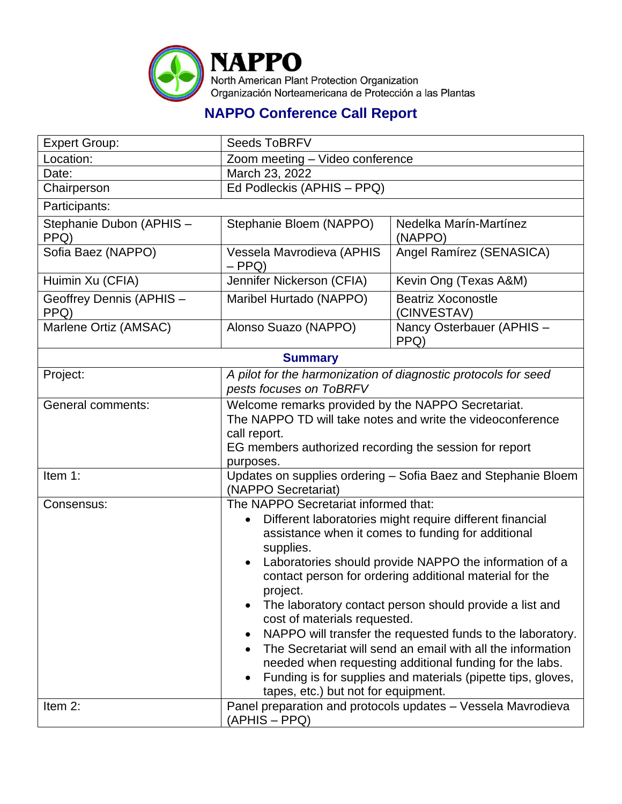

## **NAPPO Conference Call Report**

| <b>Expert Group:</b>             | <b>Seeds ToBRFV</b>                                                                                                                                                                                                                                                                                                                                                                                                                                                                                                                                                                                                                                                                                                      |                                          |  |  |
|----------------------------------|--------------------------------------------------------------------------------------------------------------------------------------------------------------------------------------------------------------------------------------------------------------------------------------------------------------------------------------------------------------------------------------------------------------------------------------------------------------------------------------------------------------------------------------------------------------------------------------------------------------------------------------------------------------------------------------------------------------------------|------------------------------------------|--|--|
| Location:                        | Zoom meeting - Video conference                                                                                                                                                                                                                                                                                                                                                                                                                                                                                                                                                                                                                                                                                          |                                          |  |  |
| Date:                            | March 23, 2022                                                                                                                                                                                                                                                                                                                                                                                                                                                                                                                                                                                                                                                                                                           |                                          |  |  |
| Chairperson                      | Ed Podleckis (APHIS - PPQ)                                                                                                                                                                                                                                                                                                                                                                                                                                                                                                                                                                                                                                                                                               |                                          |  |  |
| Participants:                    |                                                                                                                                                                                                                                                                                                                                                                                                                                                                                                                                                                                                                                                                                                                          |                                          |  |  |
| Stephanie Dubon (APHIS -<br>PPQ) | Stephanie Bloem (NAPPO)                                                                                                                                                                                                                                                                                                                                                                                                                                                                                                                                                                                                                                                                                                  | Nedelka Marín-Martínez<br>(NAPPO)        |  |  |
| Sofia Baez (NAPPO)               | Vessela Mavrodieva (APHIS<br>$-$ PPQ)                                                                                                                                                                                                                                                                                                                                                                                                                                                                                                                                                                                                                                                                                    | Angel Ramírez (SENASICA)                 |  |  |
| Huimin Xu (CFIA)                 | Jennifer Nickerson (CFIA)                                                                                                                                                                                                                                                                                                                                                                                                                                                                                                                                                                                                                                                                                                | Kevin Ong (Texas A&M)                    |  |  |
| Geoffrey Dennis (APHIS -<br>PPQ) | Maribel Hurtado (NAPPO)                                                                                                                                                                                                                                                                                                                                                                                                                                                                                                                                                                                                                                                                                                  | <b>Beatriz Xoconostle</b><br>(CINVESTAV) |  |  |
| Marlene Ortiz (AMSAC)            | Alonso Suazo (NAPPO)                                                                                                                                                                                                                                                                                                                                                                                                                                                                                                                                                                                                                                                                                                     | Nancy Osterbauer (APHIS -<br>PPQ)        |  |  |
| <b>Summary</b>                   |                                                                                                                                                                                                                                                                                                                                                                                                                                                                                                                                                                                                                                                                                                                          |                                          |  |  |
| Project:                         | A pilot for the harmonization of diagnostic protocols for seed<br>pests focuses on ToBRFV                                                                                                                                                                                                                                                                                                                                                                                                                                                                                                                                                                                                                                |                                          |  |  |
| General comments:                | Welcome remarks provided by the NAPPO Secretariat.<br>The NAPPO TD will take notes and write the videoconference<br>call report.<br>EG members authorized recording the session for report<br>purposes.                                                                                                                                                                                                                                                                                                                                                                                                                                                                                                                  |                                          |  |  |
| Item 1:                          | Updates on supplies ordering - Sofia Baez and Stephanie Bloem<br>(NAPPO Secretariat)                                                                                                                                                                                                                                                                                                                                                                                                                                                                                                                                                                                                                                     |                                          |  |  |
| Consensus:                       | The NAPPO Secretariat informed that:<br>Different laboratories might require different financial<br>$\bullet$<br>assistance when it comes to funding for additional<br>supplies.<br>Laboratories should provide NAPPO the information of a<br>$\bullet$<br>contact person for ordering additional material for the<br>project.<br>The laboratory contact person should provide a list and<br>cost of materials requested.<br>NAPPO will transfer the requested funds to the laboratory.<br>The Secretariat will send an email with all the information<br>needed when requesting additional funding for the labs.<br>Funding is for supplies and materials (pipette tips, gloves,<br>tapes, etc.) but not for equipment. |                                          |  |  |
| Item 2:                          | Panel preparation and protocols updates - Vessela Mavrodieva<br>(APHIS - PPQ)                                                                                                                                                                                                                                                                                                                                                                                                                                                                                                                                                                                                                                            |                                          |  |  |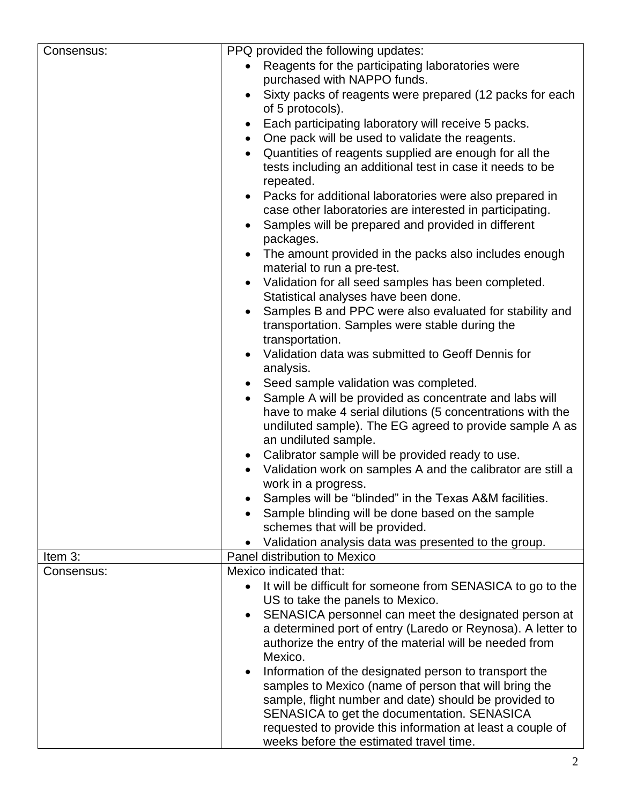| Consensus: | PPQ provided the following updates:                                                         |  |
|------------|---------------------------------------------------------------------------------------------|--|
|            | Reagents for the participating laboratories were                                            |  |
|            | purchased with NAPPO funds.                                                                 |  |
|            | Sixty packs of reagents were prepared (12 packs for each                                    |  |
|            | of 5 protocols).                                                                            |  |
|            | Each participating laboratory will receive 5 packs.                                         |  |
|            | One pack will be used to validate the reagents.<br>$\bullet$                                |  |
|            |                                                                                             |  |
|            | Quantities of reagents supplied are enough for all the<br>$\bullet$                         |  |
|            | tests including an additional test in case it needs to be<br>repeated.                      |  |
|            | Packs for additional laboratories were also prepared in<br>$\bullet$                        |  |
|            | case other laboratories are interested in participating.                                    |  |
|            | Samples will be prepared and provided in different                                          |  |
|            | packages.                                                                                   |  |
|            | The amount provided in the packs also includes enough<br>material to run a pre-test.        |  |
|            | Validation for all seed samples has been completed.<br>Statistical analyses have been done. |  |
|            | Samples B and PPC were also evaluated for stability and                                     |  |
|            | transportation. Samples were stable during the                                              |  |
|            | transportation.                                                                             |  |
|            | Validation data was submitted to Geoff Dennis for                                           |  |
|            | analysis.                                                                                   |  |
|            | Seed sample validation was completed.                                                       |  |
|            | Sample A will be provided as concentrate and labs will                                      |  |
|            | have to make 4 serial dilutions (5 concentrations with the                                  |  |
|            | undiluted sample). The EG agreed to provide sample A as                                     |  |
|            | an undiluted sample.                                                                        |  |
|            | Calibrator sample will be provided ready to use.<br>$\bullet$                               |  |
|            | Validation work on samples A and the calibrator are still a                                 |  |
|            | work in a progress.                                                                         |  |
|            | Samples will be "blinded" in the Texas A&M facilities.                                      |  |
|            | Sample blinding will be done based on the sample                                            |  |
|            | schemes that will be provided.                                                              |  |
|            | Validation analysis data was presented to the group.                                        |  |
| Item 3:    | Panel distribution to Mexico                                                                |  |
| Consensus: | Mexico indicated that:                                                                      |  |
|            | It will be difficult for someone from SENASICA to go to the<br>$\bullet$                    |  |
|            | US to take the panels to Mexico.                                                            |  |
|            | SENASICA personnel can meet the designated person at<br>$\bullet$                           |  |
|            | a determined port of entry (Laredo or Reynosa). A letter to                                 |  |
|            | authorize the entry of the material will be needed from                                     |  |
|            | Mexico.                                                                                     |  |
|            | Information of the designated person to transport the                                       |  |
|            | samples to Mexico (name of person that will bring the                                       |  |
|            | sample, flight number and date) should be provided to                                       |  |
|            | SENASICA to get the documentation. SENASICA                                                 |  |
|            | requested to provide this information at least a couple of                                  |  |
|            | weeks before the estimated travel time.                                                     |  |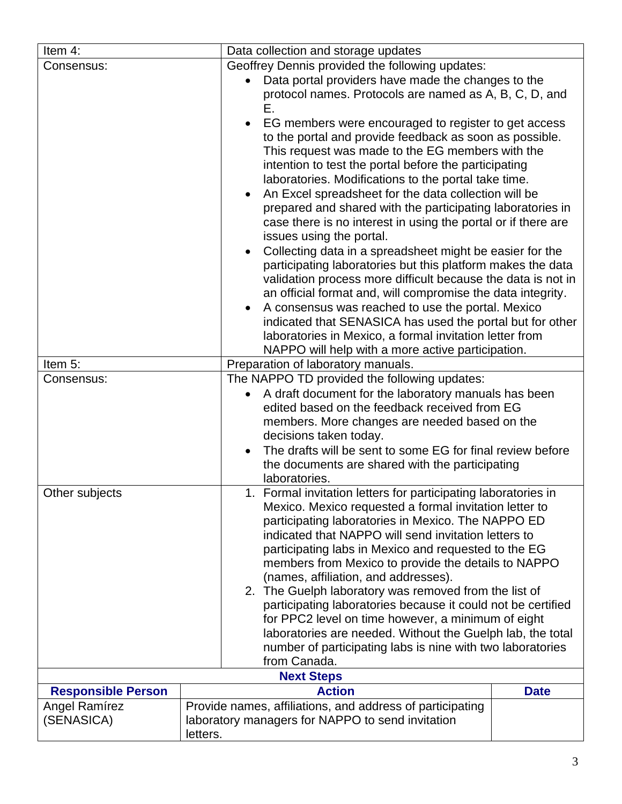| Item 4:                                                                                                                                                                                                                                                                                                                 | Data collection and storage updates                                                                                                                                                                                                                                                                                                                                                                                                                                                      |                                                                                                                                                                                                                                                                                                                                                    |  |  |
|-------------------------------------------------------------------------------------------------------------------------------------------------------------------------------------------------------------------------------------------------------------------------------------------------------------------------|------------------------------------------------------------------------------------------------------------------------------------------------------------------------------------------------------------------------------------------------------------------------------------------------------------------------------------------------------------------------------------------------------------------------------------------------------------------------------------------|----------------------------------------------------------------------------------------------------------------------------------------------------------------------------------------------------------------------------------------------------------------------------------------------------------------------------------------------------|--|--|
| Consensus:                                                                                                                                                                                                                                                                                                              | Geoffrey Dennis provided the following updates:                                                                                                                                                                                                                                                                                                                                                                                                                                          |                                                                                                                                                                                                                                                                                                                                                    |  |  |
|                                                                                                                                                                                                                                                                                                                         |                                                                                                                                                                                                                                                                                                                                                                                                                                                                                          | Data portal providers have made the changes to the                                                                                                                                                                                                                                                                                                 |  |  |
|                                                                                                                                                                                                                                                                                                                         | protocol names. Protocols are named as A, B, C, D, and<br>Е.                                                                                                                                                                                                                                                                                                                                                                                                                             |                                                                                                                                                                                                                                                                                                                                                    |  |  |
|                                                                                                                                                                                                                                                                                                                         |                                                                                                                                                                                                                                                                                                                                                                                                                                                                                          | EG members were encouraged to register to get access<br>to the portal and provide feedback as soon as possible.<br>This request was made to the EG members with the                                                                                                                                                                                |  |  |
|                                                                                                                                                                                                                                                                                                                         | intention to test the portal before the participating<br>laboratories. Modifications to the portal take time.                                                                                                                                                                                                                                                                                                                                                                            |                                                                                                                                                                                                                                                                                                                                                    |  |  |
|                                                                                                                                                                                                                                                                                                                         | An Excel spreadsheet for the data collection will be<br>prepared and shared with the participating laboratories in<br>case there is no interest in using the portal or if there are<br>issues using the portal.                                                                                                                                                                                                                                                                          |                                                                                                                                                                                                                                                                                                                                                    |  |  |
|                                                                                                                                                                                                                                                                                                                         | Collecting data in a spreadsheet might be easier for the<br>participating laboratories but this platform makes the data<br>validation process more difficult because the data is not in<br>an official format and, will compromise the data integrity.<br>A consensus was reached to use the portal. Mexico<br>indicated that SENASICA has used the portal but for other<br>laboratories in Mexico, a formal invitation letter from<br>NAPPO will help with a more active participation. |                                                                                                                                                                                                                                                                                                                                                    |  |  |
| Item 5:                                                                                                                                                                                                                                                                                                                 |                                                                                                                                                                                                                                                                                                                                                                                                                                                                                          | Preparation of laboratory manuals.                                                                                                                                                                                                                                                                                                                 |  |  |
| The NAPPO TD provided the following updates:<br>Consensus:                                                                                                                                                                                                                                                              |                                                                                                                                                                                                                                                                                                                                                                                                                                                                                          |                                                                                                                                                                                                                                                                                                                                                    |  |  |
|                                                                                                                                                                                                                                                                                                                         |                                                                                                                                                                                                                                                                                                                                                                                                                                                                                          | A draft document for the laboratory manuals has been<br>edited based on the feedback received from EG<br>members. More changes are needed based on the                                                                                                                                                                                             |  |  |
|                                                                                                                                                                                                                                                                                                                         | laboratories.                                                                                                                                                                                                                                                                                                                                                                                                                                                                            | decisions taken today.<br>The drafts will be sent to some EG for final review before<br>the documents are shared with the participating                                                                                                                                                                                                            |  |  |
| Other subjects                                                                                                                                                                                                                                                                                                          | (names, affiliation, and addresses).                                                                                                                                                                                                                                                                                                                                                                                                                                                     | Formal invitation letters for participating laboratories in<br>Mexico. Mexico requested a formal invitation letter to<br>participating laboratories in Mexico. The NAPPO ED<br>indicated that NAPPO will send invitation letters to<br>participating labs in Mexico and requested to the EG<br>members from Mexico to provide the details to NAPPO |  |  |
| 2. The Guelph laboratory was removed from the list of<br>participating laboratories because it could not be certified<br>for PPC2 level on time however, a minimum of eight<br>laboratories are needed. Without the Guelph lab, the total<br>number of participating labs is nine with two laboratories<br>from Canada. |                                                                                                                                                                                                                                                                                                                                                                                                                                                                                          |                                                                                                                                                                                                                                                                                                                                                    |  |  |
|                                                                                                                                                                                                                                                                                                                         | <b>Next Steps</b>                                                                                                                                                                                                                                                                                                                                                                                                                                                                        |                                                                                                                                                                                                                                                                                                                                                    |  |  |
| <b>Responsible Person</b>                                                                                                                                                                                                                                                                                               | <b>Action</b>                                                                                                                                                                                                                                                                                                                                                                                                                                                                            | <b>Date</b>                                                                                                                                                                                                                                                                                                                                        |  |  |
| <b>Angel Ramírez</b><br>(SENASICA)                                                                                                                                                                                                                                                                                      | Provide names, affiliations, and address of participating<br>laboratory managers for NAPPO to send invitation                                                                                                                                                                                                                                                                                                                                                                            |                                                                                                                                                                                                                                                                                                                                                    |  |  |
|                                                                                                                                                                                                                                                                                                                         | letters.                                                                                                                                                                                                                                                                                                                                                                                                                                                                                 |                                                                                                                                                                                                                                                                                                                                                    |  |  |